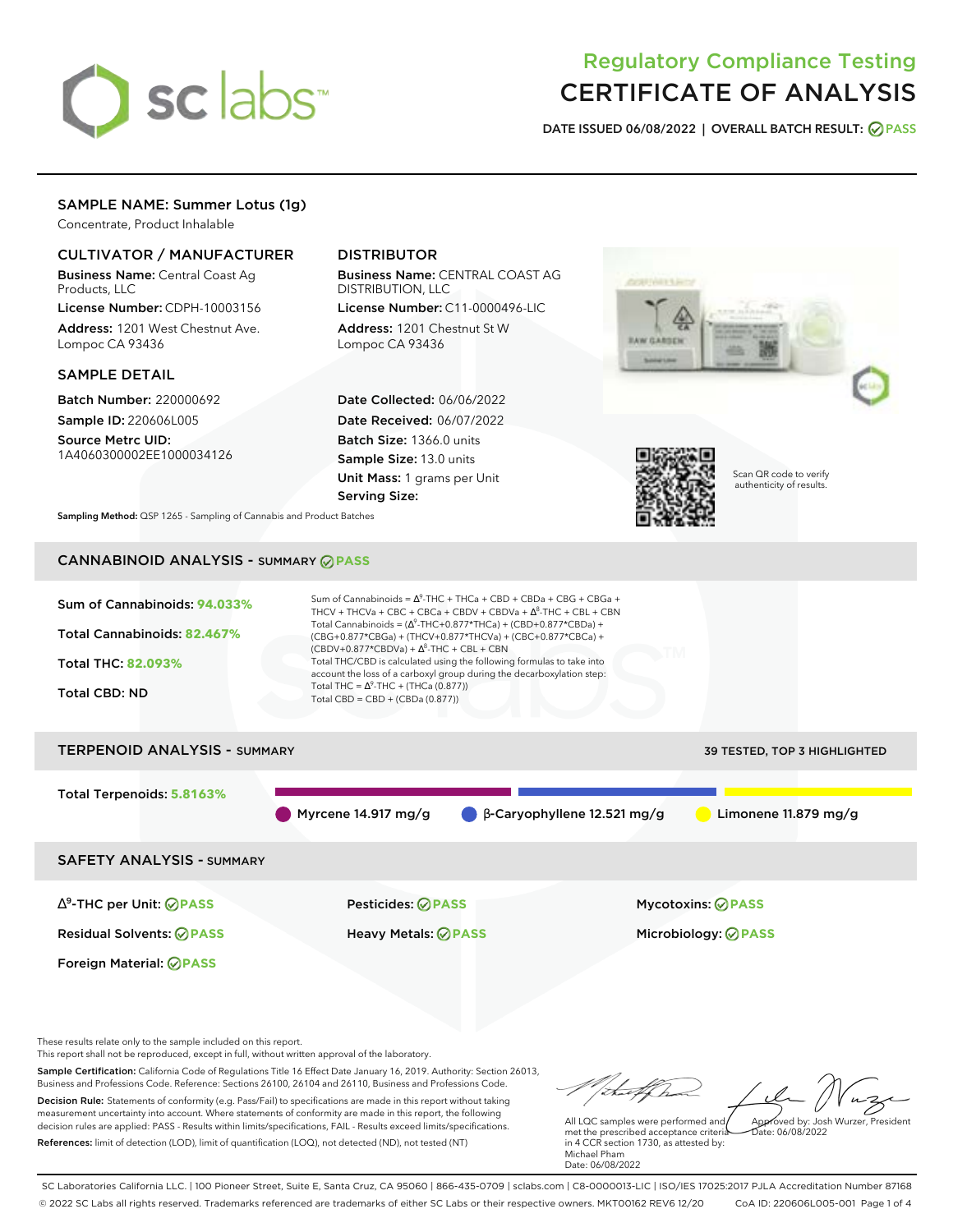# sclabs<sup>\*</sup>

# Regulatory Compliance Testing CERTIFICATE OF ANALYSIS

**DATE ISSUED 06/08/2022 | OVERALL BATCH RESULT: PASS**

# SAMPLE NAME: Summer Lotus (1g)

Concentrate, Product Inhalable

# CULTIVATOR / MANUFACTURER

Business Name: Central Coast Ag Products, LLC

License Number: CDPH-10003156 Address: 1201 West Chestnut Ave. Lompoc CA 93436

# SAMPLE DETAIL

Batch Number: 220000692 Sample ID: 220606L005

Source Metrc UID: 1A4060300002EE1000034126

# DISTRIBUTOR

Business Name: CENTRAL COAST AG DISTRIBUTION, LLC

License Number: C11-0000496-LIC Address: 1201 Chestnut St W Lompoc CA 93436

Date Collected: 06/06/2022 Date Received: 06/07/2022 Batch Size: 1366.0 units Sample Size: 13.0 units Unit Mass: 1 grams per Unit Serving Size:





Scan QR code to verify authenticity of results.

**Sampling Method:** QSP 1265 - Sampling of Cannabis and Product Batches

# CANNABINOID ANALYSIS - SUMMARY **PASS**



Total Terpenoids: **5.8163%**

Myrcene 14.917 mg/g β-Caryophyllene 12.521 mg/g Limonene 11.879 mg/g

SAFETY ANALYSIS - SUMMARY

∆ 9 -THC per Unit: **PASS** Pesticides: **PASS** Mycotoxins: **PASS**

Foreign Material: **PASS**

Residual Solvents: **PASS** Heavy Metals: **PASS** Microbiology: **PASS**

These results relate only to the sample included on this report.

This report shall not be reproduced, except in full, without written approval of the laboratory.

Sample Certification: California Code of Regulations Title 16 Effect Date January 16, 2019. Authority: Section 26013, Business and Professions Code. Reference: Sections 26100, 26104 and 26110, Business and Professions Code. Decision Rule: Statements of conformity (e.g. Pass/Fail) to specifications are made in this report without taking measurement uncertainty into account. Where statements of conformity are made in this report, the following

decision rules are applied: PASS - Results within limits/specifications, FAIL - Results exceed limits/specifications. References: limit of detection (LOD), limit of quantification (LOQ), not detected (ND), not tested (NT)

Approved by: Josh Wurzer, President

 $ate: 06/08/2022$ 

All LQC samples were performed and met the prescribed acceptance criteria in 4 CCR section 1730, as attested by: Michael Pham Date: 06/08/2022

SC Laboratories California LLC. | 100 Pioneer Street, Suite E, Santa Cruz, CA 95060 | 866-435-0709 | sclabs.com | C8-0000013-LIC | ISO/IES 17025:2017 PJLA Accreditation Number 87168 © 2022 SC Labs all rights reserved. Trademarks referenced are trademarks of either SC Labs or their respective owners. MKT00162 REV6 12/20 CoA ID: 220606L005-001 Page 1 of 4